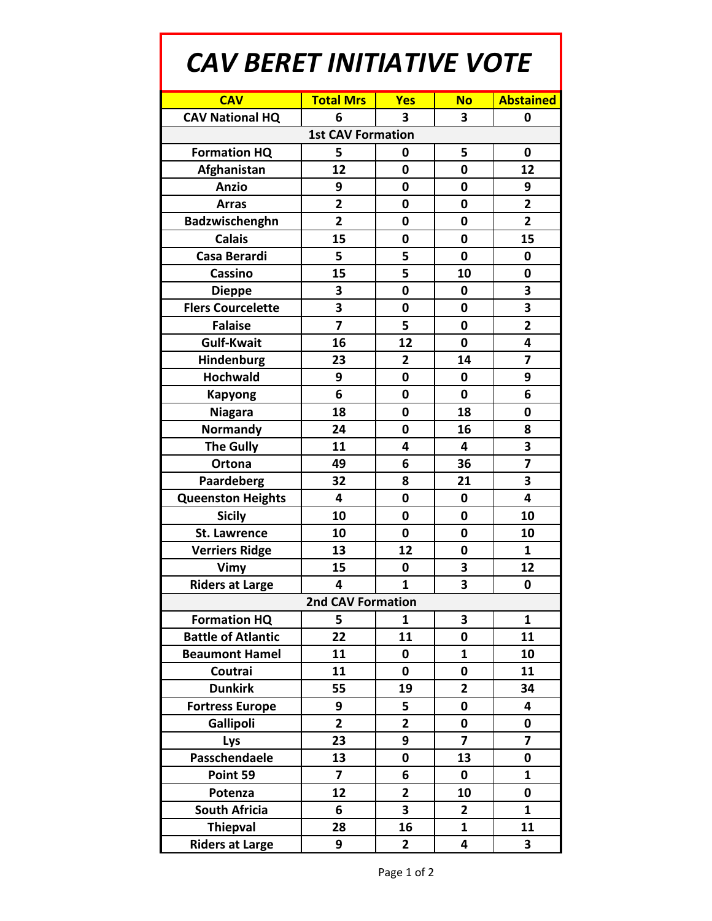## *CAV BERET INITIATIVE VOTE*

| <b>CAV</b>                | <b>Total Mrs</b>        | Yes            | <b>No</b>               | <b>Abstained</b>        |  |  |
|---------------------------|-------------------------|----------------|-------------------------|-------------------------|--|--|
| <b>CAV National HQ</b>    | 6                       | 3              | 3                       | 0                       |  |  |
| <b>1st CAV Formation</b>  |                         |                |                         |                         |  |  |
| <b>Formation HQ</b>       | 5                       | 0              | 5                       | 0                       |  |  |
| Afghanistan               | 12                      | 0              | 0                       | 12                      |  |  |
| <b>Anzio</b>              | 9                       | 0              | 0                       | 9                       |  |  |
| <b>Arras</b>              | $\overline{2}$          | 0              | 0                       | $\overline{2}$          |  |  |
| Badzwischenghn            | $\overline{2}$          | 0              | 0                       | $\overline{2}$          |  |  |
| <b>Calais</b>             | 15                      | 0              | 0                       | 15                      |  |  |
| <b>Casa Berardi</b>       | 5                       | 5              | 0                       | 0                       |  |  |
| <b>Cassino</b>            | 15                      | 5              | 10                      | 0                       |  |  |
| <b>Dieppe</b>             | 3                       | 0              | 0                       | 3                       |  |  |
| <b>Flers Courcelette</b>  | 3                       | 0              | 0                       | 3                       |  |  |
| <b>Falaise</b>            | $\overline{z}$          | 5              | 0                       | $\overline{2}$          |  |  |
| <b>Gulf-Kwait</b>         | 16                      | 12             | 0                       | 4                       |  |  |
| Hindenburg                | 23                      | 2              | 14                      | 7                       |  |  |
| <b>Hochwald</b>           | 9                       | $\mathbf 0$    | 0                       | 9                       |  |  |
| <b>Kapyong</b>            | 6                       | 0              | 0                       | 6                       |  |  |
| <b>Niagara</b>            | 18                      | 0              | 18                      | $\mathbf 0$             |  |  |
| <b>Normandy</b>           | 24                      | 0              | 16                      | 8                       |  |  |
| <b>The Gully</b>          | 11                      | 4              | 4                       | 3                       |  |  |
| Ortona                    | 49                      | 6              | 36                      | 7                       |  |  |
| Paardeberg                | 32                      | 8              | 21                      | 3                       |  |  |
| <b>Queenston Heights</b>  | 4                       | 0              | 0                       | $\overline{\mathbf{4}}$ |  |  |
| <b>Sicily</b>             | 10                      | 0              | 0                       | 10                      |  |  |
| <b>St. Lawrence</b>       | 10                      | 0              | 0                       | 10                      |  |  |
| <b>Verriers Ridge</b>     | 13                      | 12             | 0                       | $\mathbf{1}$            |  |  |
| Vimy                      | 15                      | 0              | 3                       | 12                      |  |  |
| <b>Riders at Large</b>    | $\overline{\mathbf{4}}$ | $\mathbf{1}$   | 3                       | 0                       |  |  |
| 2nd CAV Formation         |                         |                |                         |                         |  |  |
| <b>Formation HQ</b>       | 5                       | $\mathbf{1}$   | 3                       | 1                       |  |  |
| <b>Battle of Atlantic</b> | 22                      | 11             | 0                       | 11                      |  |  |
| <b>Beaumont Hamel</b>     | 11                      | 0              | 1                       | 10                      |  |  |
| Coutrai                   | 11                      | 0              | 0                       | 11                      |  |  |
| <b>Dunkirk</b>            | 55                      | 19             | $\mathbf{2}$            | 34                      |  |  |
| <b>Fortress Europe</b>    | 9                       | 5              | 0                       | $\overline{\mathbf{4}}$ |  |  |
| Gallipoli                 | $\overline{2}$          | $\overline{2}$ | 0                       | 0                       |  |  |
| Lys                       | 23                      | 9              | $\overline{\mathbf{z}}$ | $\overline{\mathbf{z}}$ |  |  |
| Passchendaele             | 13                      | 0              | 13                      | 0                       |  |  |
| Point 59                  | $\overline{7}$          | 6              | 0                       | 1                       |  |  |
| Potenza                   | 12                      | $\overline{2}$ | 10                      | 0                       |  |  |
| <b>South Africia</b>      | 6                       | 3              | $\overline{2}$          | $\mathbf{1}$            |  |  |
| <b>Thiepval</b>           | 28                      | 16             | 1                       | 11                      |  |  |
| <b>Riders at Large</b>    | 9                       | 2              | 4                       | 3                       |  |  |